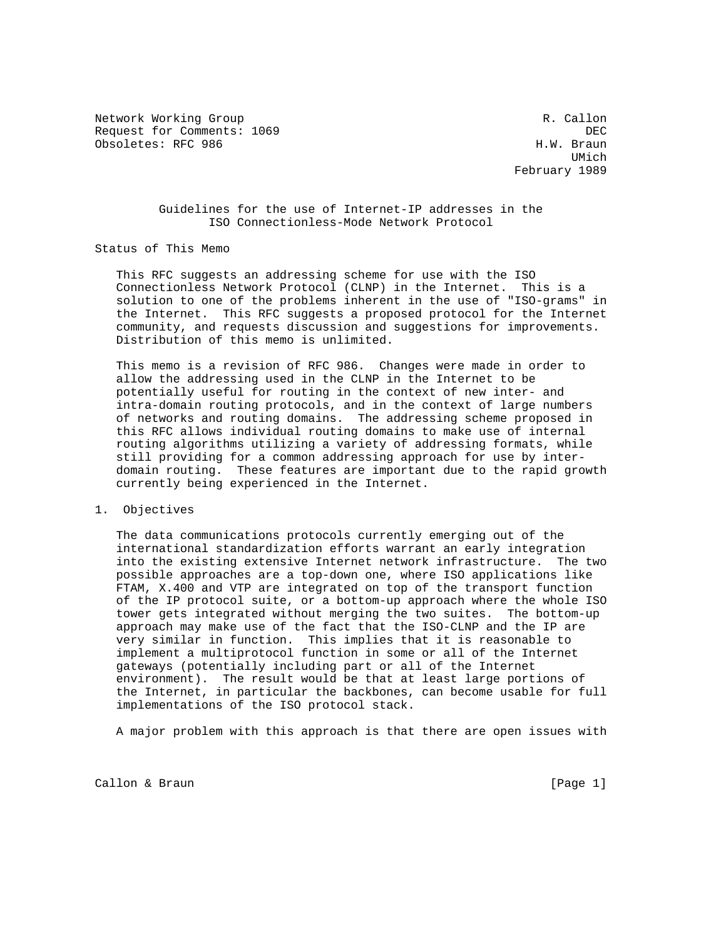Network Working Group and the set of the set of the set of the R. Callon Request for Comments: 1069 DEC Obsoletes: RFC 986

UMich and the contract of the contract of the contract of the contract of the contract of the contract of the contract of the contract of the contract of the contract of the contract of the contract of the contract of the February 1989

## Guidelines for the use of Internet-IP addresses in the ISO Connectionless-Mode Network Protocol

# Status of This Memo

 This RFC suggests an addressing scheme for use with the ISO Connectionless Network Protocol (CLNP) in the Internet. This is a solution to one of the problems inherent in the use of "ISO-grams" in the Internet. This RFC suggests a proposed protocol for the Internet community, and requests discussion and suggestions for improvements. Distribution of this memo is unlimited.

 This memo is a revision of RFC 986. Changes were made in order to allow the addressing used in the CLNP in the Internet to be potentially useful for routing in the context of new inter- and intra-domain routing protocols, and in the context of large numbers of networks and routing domains. The addressing scheme proposed in this RFC allows individual routing domains to make use of internal routing algorithms utilizing a variety of addressing formats, while still providing for a common addressing approach for use by inter domain routing. These features are important due to the rapid growth currently being experienced in the Internet.

## 1. Objectives

 The data communications protocols currently emerging out of the international standardization efforts warrant an early integration into the existing extensive Internet network infrastructure. The two possible approaches are a top-down one, where ISO applications like FTAM, X.400 and VTP are integrated on top of the transport function of the IP protocol suite, or a bottom-up approach where the whole ISO tower gets integrated without merging the two suites. The bottom-up approach may make use of the fact that the ISO-CLNP and the IP are very similar in function. This implies that it is reasonable to implement a multiprotocol function in some or all of the Internet gateways (potentially including part or all of the Internet environment). The result would be that at least large portions of the Internet, in particular the backbones, can become usable for full implementations of the ISO protocol stack.

A major problem with this approach is that there are open issues with

Callon & Braun [Page 1]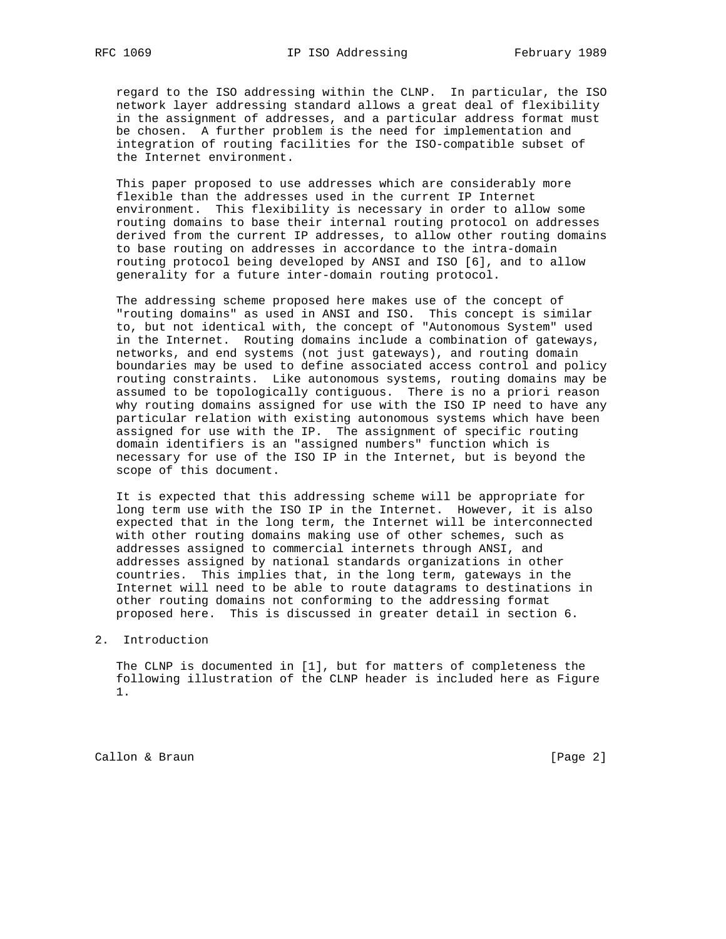regard to the ISO addressing within the CLNP. In particular, the ISO network layer addressing standard allows a great deal of flexibility in the assignment of addresses, and a particular address format must be chosen. A further problem is the need for implementation and integration of routing facilities for the ISO-compatible subset of the Internet environment.

 This paper proposed to use addresses which are considerably more flexible than the addresses used in the current IP Internet environment. This flexibility is necessary in order to allow some routing domains to base their internal routing protocol on addresses derived from the current IP addresses, to allow other routing domains to base routing on addresses in accordance to the intra-domain routing protocol being developed by ANSI and ISO [6], and to allow generality for a future inter-domain routing protocol.

 The addressing scheme proposed here makes use of the concept of "routing domains" as used in ANSI and ISO. This concept is similar to, but not identical with, the concept of "Autonomous System" used in the Internet. Routing domains include a combination of gateways, networks, and end systems (not just gateways), and routing domain boundaries may be used to define associated access control and policy routing constraints. Like autonomous systems, routing domains may be assumed to be topologically contiguous. There is no a priori reason why routing domains assigned for use with the ISO IP need to have any particular relation with existing autonomous systems which have been assigned for use with the IP. The assignment of specific routing domain identifiers is an "assigned numbers" function which is necessary for use of the ISO IP in the Internet, but is beyond the scope of this document.

 It is expected that this addressing scheme will be appropriate for long term use with the ISO IP in the Internet. However, it is also expected that in the long term, the Internet will be interconnected with other routing domains making use of other schemes, such as addresses assigned to commercial internets through ANSI, and addresses assigned by national standards organizations in other countries. This implies that, in the long term, gateways in the Internet will need to be able to route datagrams to destinations in other routing domains not conforming to the addressing format proposed here. This is discussed in greater detail in section 6.

### 2. Introduction

 The CLNP is documented in [1], but for matters of completeness the following illustration of the CLNP header is included here as Figure 1.

Callon & Braun [Page 2]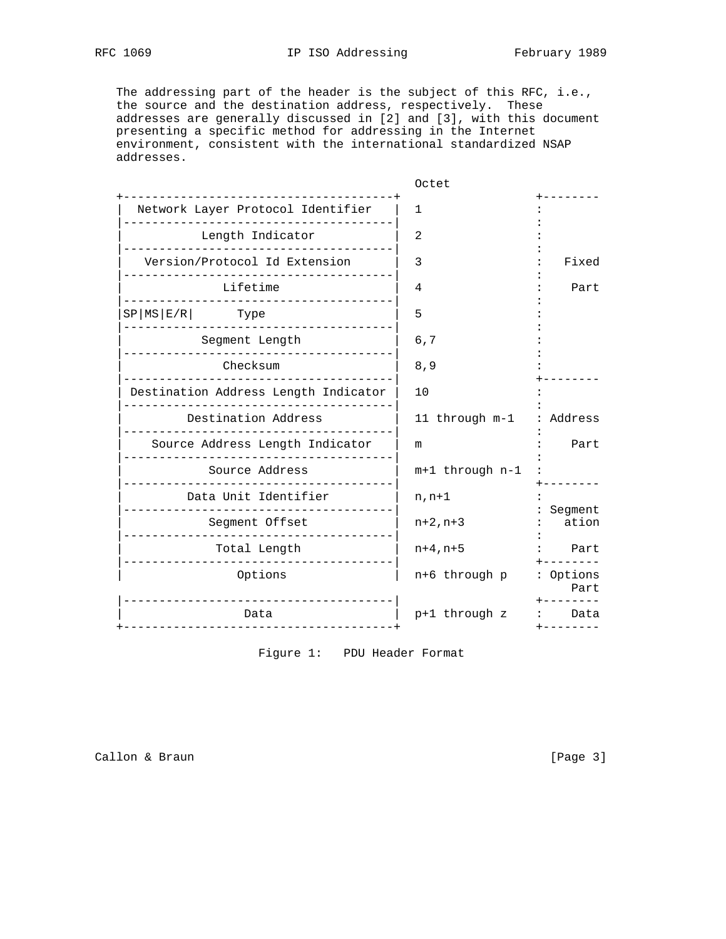The addressing part of the header is the subject of this RFC, i.e., the source and the destination address, respectively. These addresses are generally discussed in [2] and [3], with this document presenting a specific method for addressing in the Internet environment, consistent with the international standardized NSAP addresses.

|                                        | Octet           |                   |
|----------------------------------------|-----------------|-------------------|
| .<br>Network Layer Protocol Identifier | 1               |                   |
| Length Indicator                       | 2               |                   |
| Version/Protocol Id Extension          | 3               | Fixed             |
| Lifetime                               | 4               | Part              |
| $SP MS E/R $ Type                      | 5               |                   |
| . Le le le le le le le le le le le     |                 |                   |
| Segment Length                         | 6,7             |                   |
| Checksum                               | 8,9             |                   |
| Destination Address Length Indicator   | 10              |                   |
| Destination Address                    | 11 through m-1  | Address           |
| Source Address Length Indicator        | m               | Part              |
| Source Address                         | m+1 through n-1 |                   |
| Data Unit Identifier                   | $n, n+1$        |                   |
| Segment Offset                         | $n+2, n+3$      | Segment<br>ation  |
| Total Length                           | $n+4, n+5$      | Part              |
| Options                                | n+6 through p   | : Options<br>Part |
| Data<br>-----------------------------  | p+1 through z   | Data              |

Figure 1: PDU Header Format

Callon & Braun [Page 3]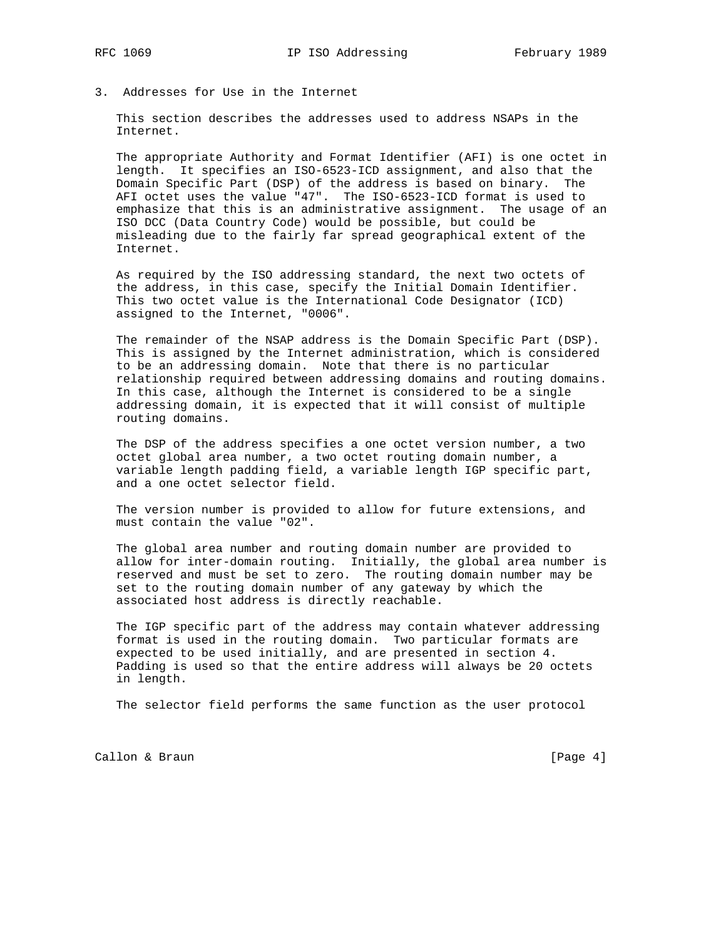- 
- 3. Addresses for Use in the Internet

 This section describes the addresses used to address NSAPs in the Internet.

 The appropriate Authority and Format Identifier (AFI) is one octet in length. It specifies an ISO-6523-ICD assignment, and also that the Domain Specific Part (DSP) of the address is based on binary. The AFI octet uses the value "47". The ISO-6523-ICD format is used to emphasize that this is an administrative assignment. The usage of an ISO DCC (Data Country Code) would be possible, but could be misleading due to the fairly far spread geographical extent of the Internet.

 As required by the ISO addressing standard, the next two octets of the address, in this case, specify the Initial Domain Identifier. This two octet value is the International Code Designator (ICD) assigned to the Internet, "0006".

 The remainder of the NSAP address is the Domain Specific Part (DSP). This is assigned by the Internet administration, which is considered to be an addressing domain. Note that there is no particular relationship required between addressing domains and routing domains. In this case, although the Internet is considered to be a single addressing domain, it is expected that it will consist of multiple routing domains.

 The DSP of the address specifies a one octet version number, a two octet global area number, a two octet routing domain number, a variable length padding field, a variable length IGP specific part, and a one octet selector field.

 The version number is provided to allow for future extensions, and must contain the value "02".

 The global area number and routing domain number are provided to allow for inter-domain routing. Initially, the global area number is reserved and must be set to zero. The routing domain number may be set to the routing domain number of any gateway by which the associated host address is directly reachable.

 The IGP specific part of the address may contain whatever addressing format is used in the routing domain. Two particular formats are expected to be used initially, and are presented in section 4. Padding is used so that the entire address will always be 20 octets in length.

The selector field performs the same function as the user protocol

Callon & Braun [Page 4]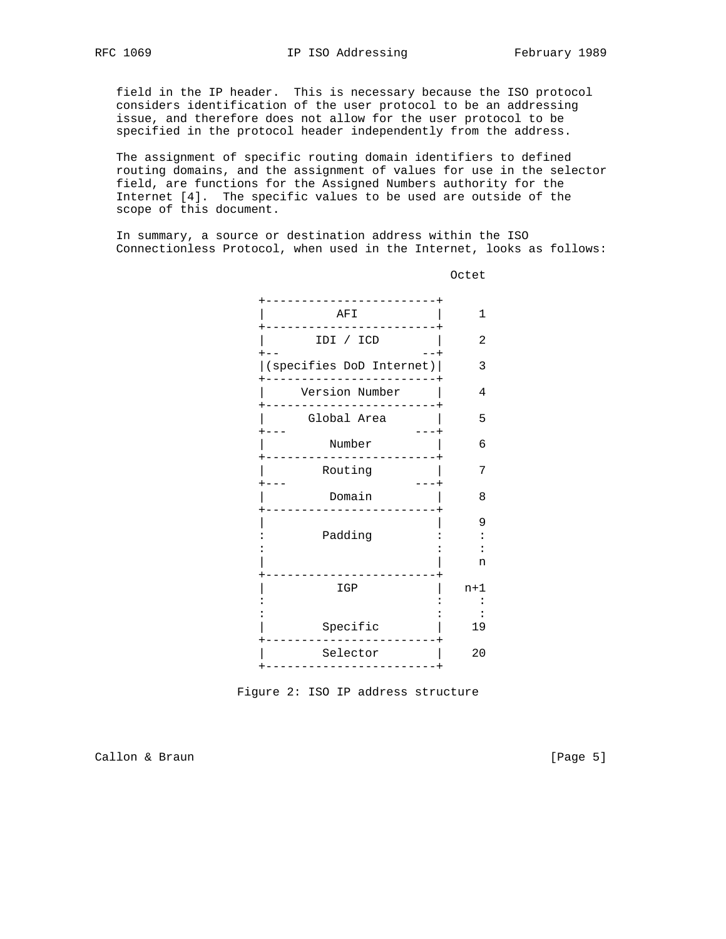field in the IP header. This is necessary because the ISO protocol considers identification of the user protocol to be an addressing issue, and therefore does not allow for the user protocol to be specified in the protocol header independently from the address.

 The assignment of specific routing domain identifiers to defined routing domains, and the assignment of values for use in the selector field, are functions for the Assigned Numbers authority for the Internet [4]. The specific values to be used are outside of the scope of this document.

 In summary, a source or destination address within the ISO Connectionless Protocol, when used in the Internet, looks as follows:



**COLLECTION CONTROL** 

Figure 2: ISO IP address structure

Callon & Braun [Page 5]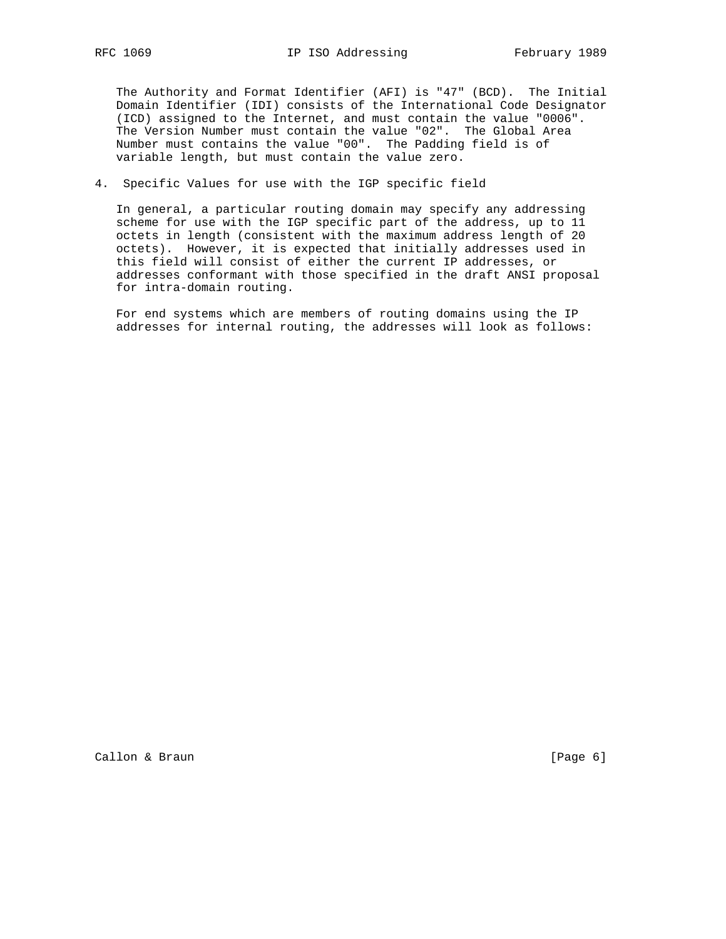The Authority and Format Identifier (AFI) is "47" (BCD). The Initial Domain Identifier (IDI) consists of the International Code Designator (ICD) assigned to the Internet, and must contain the value "0006". The Version Number must contain the value "02". The Global Area Number must contains the value "00". The Padding field is of variable length, but must contain the value zero.

## 4. Specific Values for use with the IGP specific field

 In general, a particular routing domain may specify any addressing scheme for use with the IGP specific part of the address, up to 11 octets in length (consistent with the maximum address length of 20 octets). However, it is expected that initially addresses used in this field will consist of either the current IP addresses, or addresses conformant with those specified in the draft ANSI proposal for intra-domain routing.

 For end systems which are members of routing domains using the IP addresses for internal routing, the addresses will look as follows: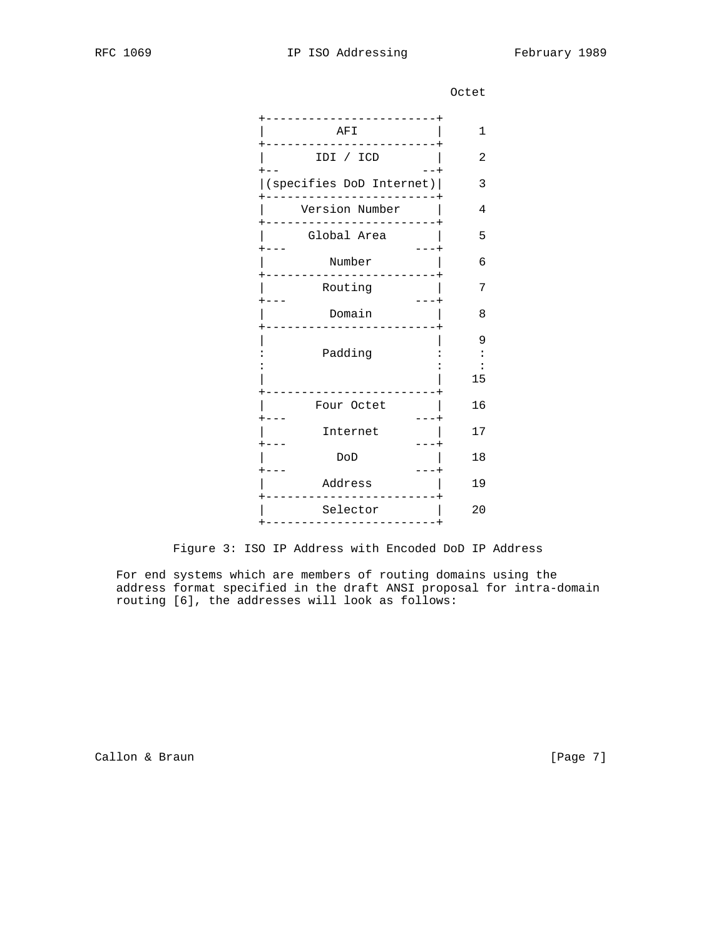**COLLECTION CONTROL** 

|    | AFI                      |
|----|--------------------------|
|    | IDI / ICD                |
|    | (specifies DoD Internet) |
|    | Version Number           |
|    | Global Area              |
|    | Number                   |
|    | Routing                  |
|    | Domain                   |
| 15 | Padding                  |
|    | Four Octet               |
|    | Internet                 |
|    | DoD                      |
|    | Address                  |
|    | Selector                 |
|    |                          |

Figure 3: ISO IP Address with Encoded DoD IP Address

 For end systems which are members of routing domains using the address format specified in the draft ANSI proposal for intra-domain routing [6], the addresses will look as follows:

Callon & Braun [Page 7]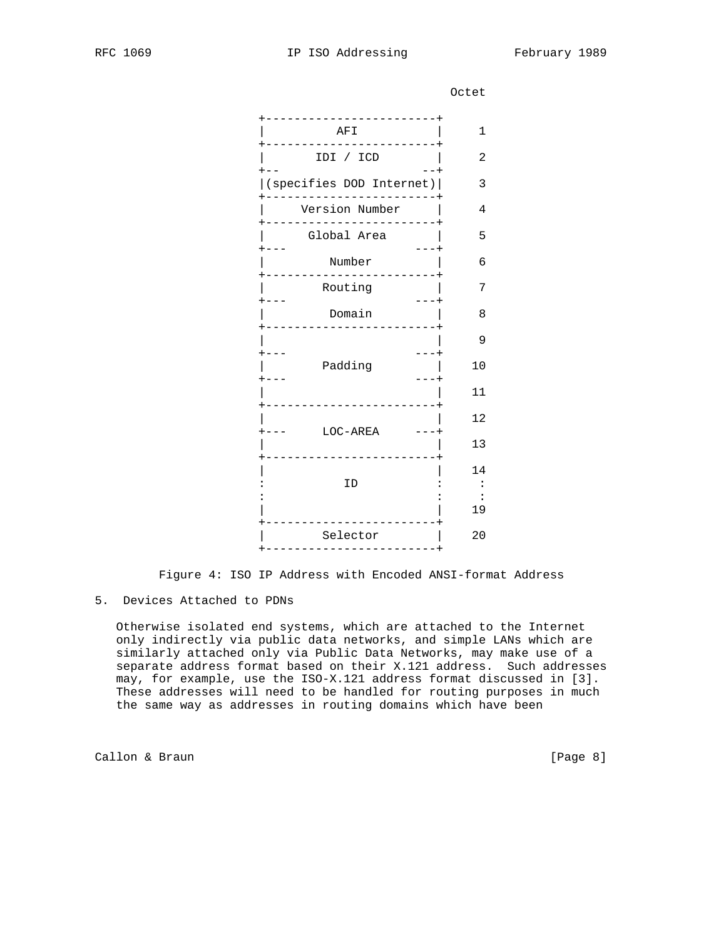**COLLECTION CONTROL** 

| $\mathbf 1$ | AFI                      |
|-------------|--------------------------|
| $\mathbf 2$ | IDI / ICD                |
| $\mathsf 3$ | (specifies DOD Internet) |
| 4           | Version Number           |
| 5           | Global Area              |
| 6           | Number                   |
| 7           | Routing                  |
| 8           | Domain                   |
| $\mathsf 9$ |                          |
| 10          | Padding                  |
| 11          |                          |
| 12          |                          |
| 13          | LOC-AREA                 |
| 14          |                          |
|             | ID                       |
| 19          |                          |
| 20          | Selector                 |
|             |                          |

Figure 4: ISO IP Address with Encoded ANSI-format Address

# 5. Devices Attached to PDNs

 Otherwise isolated end systems, which are attached to the Internet only indirectly via public data networks, and simple LANs which are similarly attached only via Public Data Networks, may make use of a separate address format based on their X.121 address. Such addresses may, for example, use the ISO-X.121 address format discussed in [3]. These addresses will need to be handled for routing purposes in much the same way as addresses in routing domains which have been

Callon & Braun [Page 8]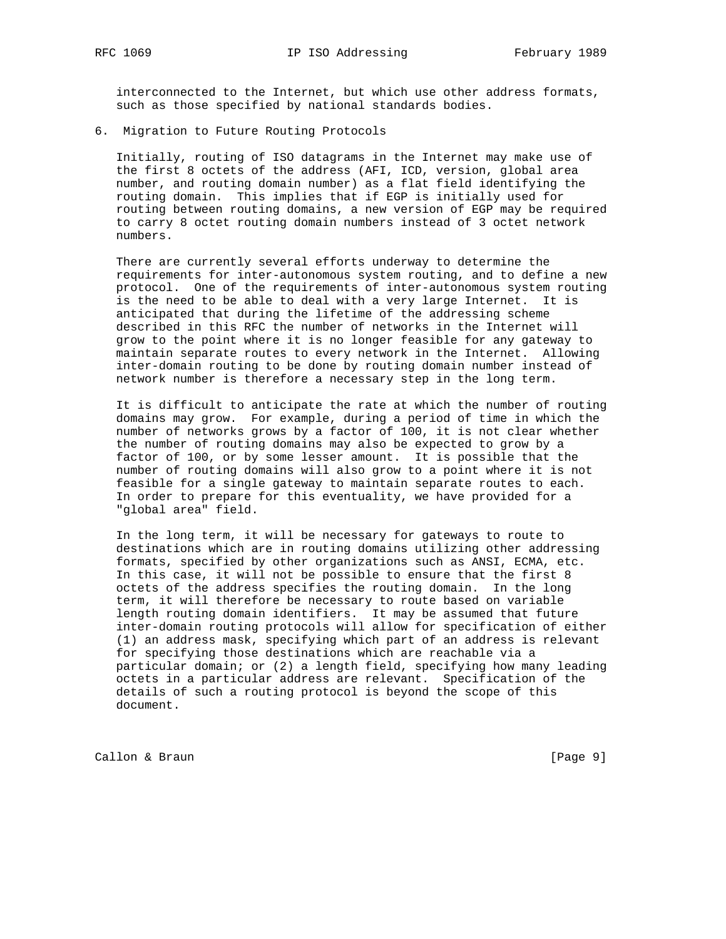interconnected to the Internet, but which use other address formats, such as those specified by national standards bodies.

6. Migration to Future Routing Protocols

 Initially, routing of ISO datagrams in the Internet may make use of the first 8 octets of the address (AFI, ICD, version, global area number, and routing domain number) as a flat field identifying the routing domain. This implies that if EGP is initially used for routing between routing domains, a new version of EGP may be required to carry 8 octet routing domain numbers instead of 3 octet network numbers.

 There are currently several efforts underway to determine the requirements for inter-autonomous system routing, and to define a new protocol. One of the requirements of inter-autonomous system routing is the need to be able to deal with a very large Internet. It is anticipated that during the lifetime of the addressing scheme described in this RFC the number of networks in the Internet will grow to the point where it is no longer feasible for any gateway to maintain separate routes to every network in the Internet. Allowing inter-domain routing to be done by routing domain number instead of network number is therefore a necessary step in the long term.

 It is difficult to anticipate the rate at which the number of routing domains may grow. For example, during a period of time in which the number of networks grows by a factor of 100, it is not clear whether the number of routing domains may also be expected to grow by a factor of 100, or by some lesser amount. It is possible that the number of routing domains will also grow to a point where it is not feasible for a single gateway to maintain separate routes to each. In order to prepare for this eventuality, we have provided for a "global area" field.

 In the long term, it will be necessary for gateways to route to destinations which are in routing domains utilizing other addressing formats, specified by other organizations such as ANSI, ECMA, etc. In this case, it will not be possible to ensure that the first 8 octets of the address specifies the routing domain. In the long term, it will therefore be necessary to route based on variable length routing domain identifiers. It may be assumed that future inter-domain routing protocols will allow for specification of either (1) an address mask, specifying which part of an address is relevant for specifying those destinations which are reachable via a particular domain; or (2) a length field, specifying how many leading octets in a particular address are relevant. Specification of the details of such a routing protocol is beyond the scope of this document.

Callon & Braun [Page 9]